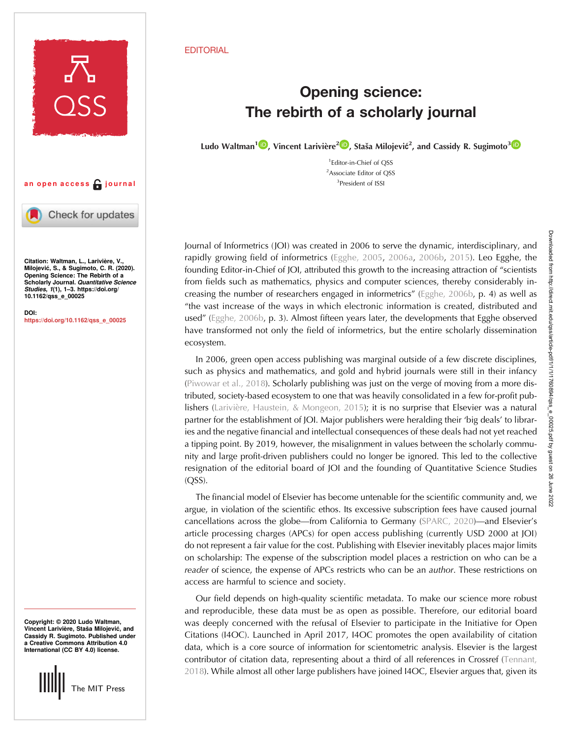

## an open access  $\bigcap$  journal

Check for updates

Citation: Waltman, L., Larivière, V., Milojević, S., & Sugimoto, C. R. (2020). Opening Science: The Rebirth of a Scholarly Journal. Quantitative Science Studies, 1(1), 1–3. [https://doi.org/](https://doi.org/10.1162/qss_e_00025) [10.1162/qss\\_e\\_00025](https://doi.org/10.1162/qss_e_00025)

DOI: [https://doi.org/10.1162/qss\\_e\\_00025](https://doi.org/10.1162/qss_e_00025)

Copyright: © 2020 Ludo Waltman, Vincent Larivière, Staša Milojević, and Cassidy R. Sugimoto. Published under a Creative Commons Attribution 4.0 International (CC BY 4.0) license.



## **EDITORIAL**

## **Opening science:**<br>The rebirth of a scholarly journal The rebirth of a scholarly journal

Ludo Waltman<sup>1</sup><sup>10</sup>[,](https://orcid.org/0000-0002-2733-0689) Vincent Larivière<sup>210</sup>, Staša Milojević<sup>2</sup>, and Cassidy R. Sugimoto<sup>[3](https://orcid.org/0000-0001-8608-3203)</sup>

1 Editor-in-Chief of QSS <sup>2</sup>Associate Editor of QSS 3 President of ISSI

Journal of Informetrics (JOI) was created in 2006 to serve the dynamic, interdisciplinary, and rapidly growing field of informetrics ([Egghe, 2005](#page-2-0), [2006a](#page-2-0), [2006b](#page-2-0), [2015](#page-2-0)). Leo Egghe, the founding Editor-in-Chief of JOI, attributed this growth to the increasing attraction of "scientists from fields such as mathematics, physics and computer sciences, thereby considerably increasing the number of researchers engaged in informetrics" [\(Egghe, 2006b](#page-2-0), p. 4) as well as "the vast increase of the ways in which electronic information is created, distributed and used" ([Egghe, 2006b,](#page-2-0) p. 3). Almost fifteen years later, the developments that Egghe observed have transformed not only the field of informetrics, but the entire scholarly dissemination ecosystem.

In 2006, green open access publishing was marginal outside of a few discrete disciplines, such as physics and mathematics, and gold and hybrid journals were still in their infancy ([Piwowar et al., 2018\)](#page-2-0). Scholarly publishing was just on the verge of moving from a more distributed, society-based ecosystem to one that was heavily consolidated in a few for-profit pub-lishers ([Larivière, Haustein, & Mongeon, 2015](#page-2-0)); it is no surprise that Elsevier was a natural partner for the establishment of JOI. Major publishers were heralding their 'big deals' to libraries and the negative financial and intellectual consequences of these deals had not yet reached a tipping point. By 2019, however, the misalignment in values between the scholarly community and large profit-driven publishers could no longer be ignored. This led to the collective resignation of the editorial board of JOI and the founding of Quantitative Science Studies (QSS).

The financial model of Elsevier has become untenable for the scientific community and, we argue, in violation of the scientific ethos. Its excessive subscription fees have caused journal cancellations across the globe—from California to Germany [\(SPARC, 2020\)](#page-2-0)—and Elsevier's article processing charges (APCs) for open access publishing (currently USD 2000 at JOI) do not represent a fair value for the cost. Publishing with Elsevier inevitably places major limits on scholarship: The expense of the subscription model places a restriction on who can be a reader of science, the expense of APCs restricts who can be an *author*. These restrictions on access are harmful to science and society.

Our field depends on high-quality scientific metadata. To make our science more robust and reproducible, these data must be as open as possible. Therefore, our editorial board was deeply concerned with the refusal of Elsevier to participate in the Initiative for Open Citations (I4OC). Launched in April 2017, I4OC promotes the open availability of citation data, which is a core source of information for scientometric analysis. Elsevier is the largest contributor of citation data, representing about a third of all references in Crossref ([Tennant,](#page-2-0) [2018\)](#page-2-0). While almost all other large publishers have joined I4OC, Elsevier argues that, given its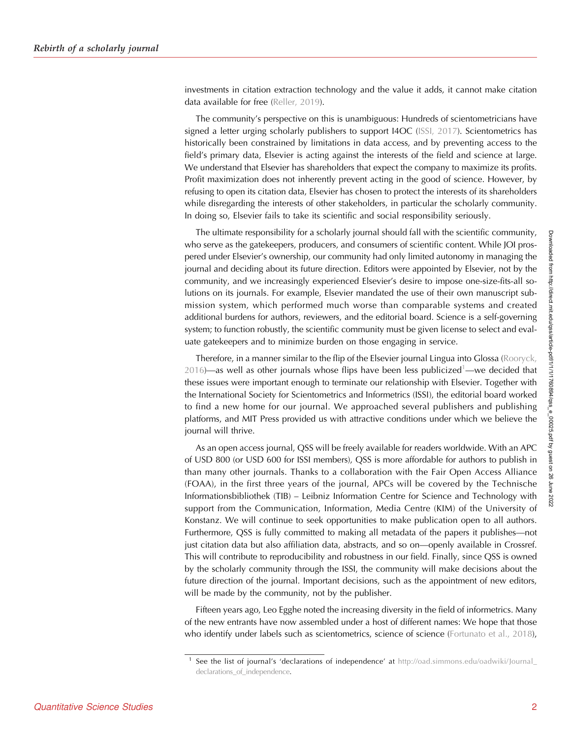investments in citation extraction technology and the value it adds, it cannot make citation data available for free ([Reller, 2019\)](#page-2-0).

The community's perspective on this is unambiguous: Hundreds of scientometricians have signed a letter urging scholarly publishers to support I4OC ([ISSI, 2017\)](#page-2-0). Scientometrics has historically been constrained by limitations in data access, and by preventing access to the field's primary data, Elsevier is acting against the interests of the field and science at large. We understand that Elsevier has shareholders that expect the company to maximize its profits. Profit maximization does not inherently prevent acting in the good of science. However, by refusing to open its citation data, Elsevier has chosen to protect the interests of its shareholders while disregarding the interests of other stakeholders, in particular the scholarly community. In doing so, Elsevier fails to take its scientific and social responsibility seriously.

The ultimate responsibility for a scholarly journal should fall with the scientific community, who serve as the gatekeepers, producers, and consumers of scientific content. While JOI prospered under Elsevier's ownership, our community had only limited autonomy in managing the journal and deciding about its future direction. Editors were appointed by Elsevier, not by the community, and we increasingly experienced Elsevier's desire to impose one-size-fits-all solutions on its journals. For example, Elsevier mandated the use of their own manuscript submission system, which performed much worse than comparable systems and created additional burdens for authors, reviewers, and the editorial board. Science is a self-governing system; to function robustly, the scientific community must be given license to select and evaluate gatekeepers and to minimize burden on those engaging in service.

Therefore, in a manner similar to the flip of the Elsevier journal Lingua into Glossa ([Rooryck,](#page-2-0) [2016](#page-2-0))—as well as other journals whose flips have been less publicized<sup>1</sup>—we decided that these issues were important enough to terminate our relationship with Elsevier. Together with the International Society for Scientometrics and Informetrics (ISSI), the editorial board worked to find a new home for our journal. We approached several publishers and publishing platforms, and MIT Press provided us with attractive conditions under which we believe the journal will thrive.

As an open access journal, QSS will be freely available for readers worldwide. With an APC of USD 800 (or USD 600 for ISSI members), QSS is more affordable for authors to publish in than many other journals. Thanks to a collaboration with the Fair Open Access Alliance (FOAA), in the first three years of the journal, APCs will be covered by the Technische Informationsbibliothek (TIB) – Leibniz Information Centre for Science and Technology with support from the Communication, Information, Media Centre (KIM) of the University of Konstanz. We will continue to seek opportunities to make publication open to all authors. Furthermore, QSS is fully committed to making all metadata of the papers it publishes—not just citation data but also affiliation data, abstracts, and so on—openly available in Crossref. This will contribute to reproducibility and robustness in our field. Finally, since QSS is owned by the scholarly community through the ISSI, the community will make decisions about the future direction of the journal. Important decisions, such as the appointment of new editors, will be made by the community, not by the publisher.

Fifteen years ago, Leo Egghe noted the increasing diversity in the field of informetrics. Many of the new entrants have now assembled under a host of different names: We hope that those who identify under labels such as scientometrics, science of science [\(Fortunato et al., 2018\)](#page-2-0),

<sup>&</sup>lt;sup>1</sup> See the list of journal's 'declarations of independence' at [http://oad.simmons.edu/oadwiki/Journal\\_](http://oad.simmons.edu/oadwiki/Journal_declarations_of_independence) [declarations\\_of\\_independence.](http://oad.simmons.edu/oadwiki/Journal_declarations_of_independence)